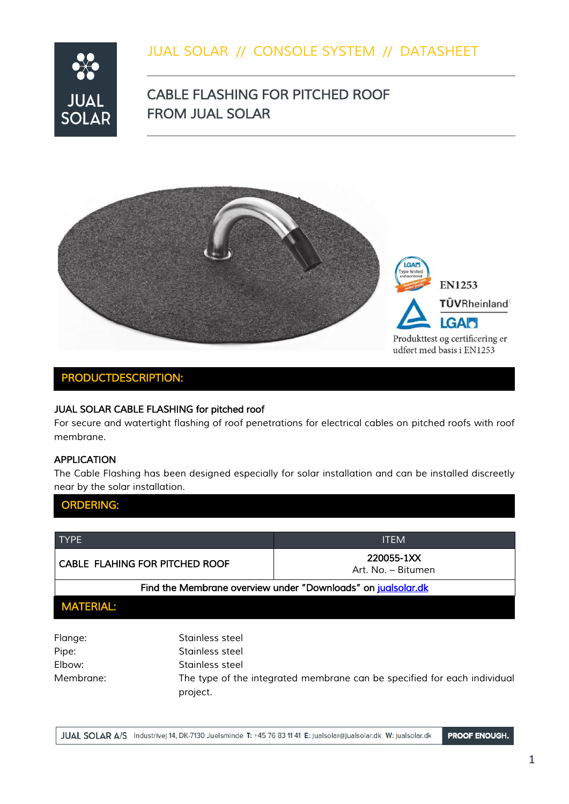## *JUAL SOLAR // CONSOLE SYSTEM // DATASHEET*



## *CABLE FLASHING FOR PITCHED ROOF FROM JUAL SOLAR*



### *PRODUCTDESCRIPTION:*

### **JUAL SOLAR CABLE FLASHING for pitched roof**

*For secure and watertight flashing of roof penetrations for electrical cables on pitched roofs with roof membrane.*

#### *APPLICATION*

*The Cable Flashing has been designed especially for solar installation and can be installed discreetly near by the solar installation.*

| <b>ORDERING:</b>                                             |                 |                                                                          |
|--------------------------------------------------------------|-----------------|--------------------------------------------------------------------------|
|                                                              |                 |                                                                          |
| <b>TYPE</b>                                                  |                 | <b>ITEM</b>                                                              |
| <b>CABLE FLAHING FOR PITCHED ROOF</b>                        |                 | 220055-1XX<br>Art. No. - Bitumen                                         |
| Find the Membrane overview under "Downloads" on jualsolar.dk |                 |                                                                          |
| <b>MATERIAL:</b>                                             |                 |                                                                          |
| Flange:                                                      | Stainless steel |                                                                          |
| Pipe:                                                        | Stainless steel |                                                                          |
| Elbow:                                                       | Stainless steel |                                                                          |
| Membrane:                                                    |                 | The type of the integrated membrane can be specified for each individual |

JUAL SOLAR A/S Industrivej 14, DK-7130 Juelsminde T: +45 76 83 11 41 E: jualsolar@jualsolar.dk W: jualsolar.dk **PROOF ENOUGH.** 

*project.*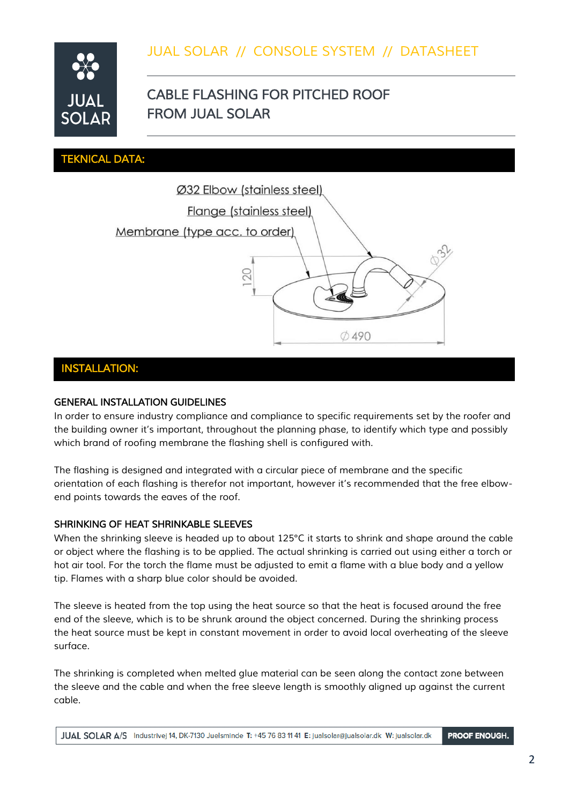

# *CABLE FLASHING FOR PITCHED ROOF FROM JUAL SOLAR*

#### *TEKNICAL DATA:*



#### *INSTALLATION:*

#### *GENERAL INSTALLATION GUIDELINES*

*In order to ensure industry compliance and compliance to specific requirements set by the roofer and the building owner it's important, throughout the planning phase, to identify which type and possibly which brand of roofing membrane the flashing shell is configured with.*

*The flashing is designed and integrated with a circular piece of membrane and the specific orientation of each flashing is therefor not important, however it's recommended that the free elbowend points towards the eaves of the roof.*

#### *SHRINKING OF HEAT SHRINKABLE SLEEVES*

*When the shrinking sleeve is headed up to about 125°C it starts to shrink and shape around the cable or object where the flashing is to be applied. The actual shrinking is carried out using either a torch or hot air tool. For the torch the flame must be adjusted to emit a flame with a blue body and a yellow tip. Flames with a sharp blue color should be avoided.*

*The sleeve is heated from the top using the heat source so that the heat is focused around the free end of the sleeve, which is to be shrunk around the object concerned. During the shrinking process the heat source must be kept in constant movement in order to avoid local overheating of the sleeve surface.*

*The shrinking is completed when melted glue material can be seen along the contact zone between the sleeve and the cable and when the free sleeve length is smoothly aligned up against the current cable.*

**PROOF ENOUGH.** JUAL SOLAR A/S Industrivej 14, DK-7130 Juelsminde T: +45 76 83 11 41 E: jualsolar@jualsolar.dk W: jualsolar.dk